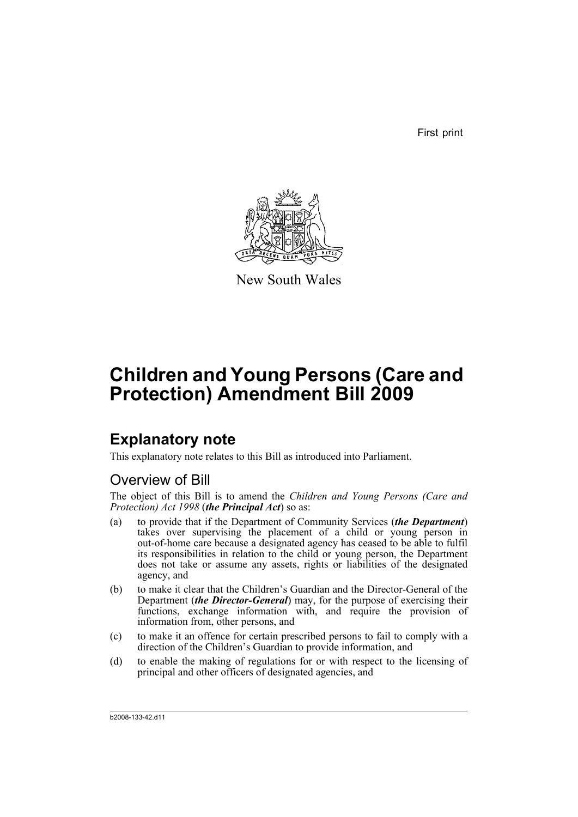First print



New South Wales

# **Children and Young Persons (Care and Protection) Amendment Bill 2009**

### **Explanatory note**

This explanatory note relates to this Bill as introduced into Parliament.

### Overview of Bill

The object of this Bill is to amend the *Children and Young Persons (Care and Protection) Act 1998* (*the Principal Act*) so as:

- (a) to provide that if the Department of Community Services (*the Department*) takes over supervising the placement of a child or young person in out-of-home care because a designated agency has ceased to be able to fulfil its responsibilities in relation to the child or young person, the Department does not take or assume any assets, rights or liabilities of the designated agency, and
- (b) to make it clear that the Children's Guardian and the Director-General of the Department (*the Director-General*) may, for the purpose of exercising their functions, exchange information with, and require the provision of information from, other persons, and
- (c) to make it an offence for certain prescribed persons to fail to comply with a direction of the Children's Guardian to provide information, and
- (d) to enable the making of regulations for or with respect to the licensing of principal and other officers of designated agencies, and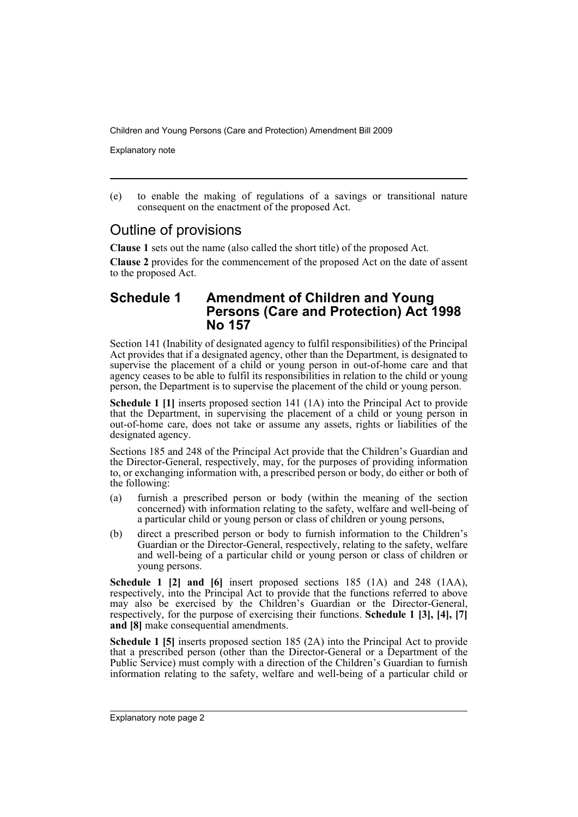Explanatory note

(e) to enable the making of regulations of a savings or transitional nature consequent on the enactment of the proposed Act.

### Outline of provisions

**Clause 1** sets out the name (also called the short title) of the proposed Act.

**Clause 2** provides for the commencement of the proposed Act on the date of assent to the proposed Act.

#### **Schedule 1 Amendment of Children and Young Persons (Care and Protection) Act 1998 No 157**

Section 141 (Inability of designated agency to fulfil responsibilities) of the Principal Act provides that if a designated agency, other than the Department, is designated to supervise the placement of a child or young person in out-of-home care and that agency ceases to be able to fulfil its responsibilities in relation to the child or young person, the Department is to supervise the placement of the child or young person.

**Schedule 1 [1]** inserts proposed section 141 (1A) into the Principal Act to provide that the Department, in supervising the placement of a child or young person in out-of-home care, does not take or assume any assets, rights or liabilities of the designated agency.

Sections 185 and 248 of the Principal Act provide that the Children's Guardian and the Director-General, respectively, may, for the purposes of providing information to, or exchanging information with, a prescribed person or body, do either or both of the following:

- (a) furnish a prescribed person or body (within the meaning of the section concerned) with information relating to the safety, welfare and well-being of a particular child or young person or class of children or young persons,
- (b) direct a prescribed person or body to furnish information to the Children's Guardian or the Director-General, respectively, relating to the safety, welfare and well-being of a particular child or young person or class of children or young persons.

**Schedule 1 [2] and [6]** insert proposed sections 185 (1A) and 248 (1AA), respectively, into the Principal Act to provide that the functions referred to above may also be exercised by the Children's Guardian or the Director-General, respectively, for the purpose of exercising their functions. **Schedule 1 [3], [4], [7] and [8]** make consequential amendments.

**Schedule 1 [5]** inserts proposed section 185 (2A) into the Principal Act to provide that a prescribed person (other than the Director-General or a Department of the Public Service) must comply with a direction of the Children's Guardian to furnish information relating to the safety, welfare and well-being of a particular child or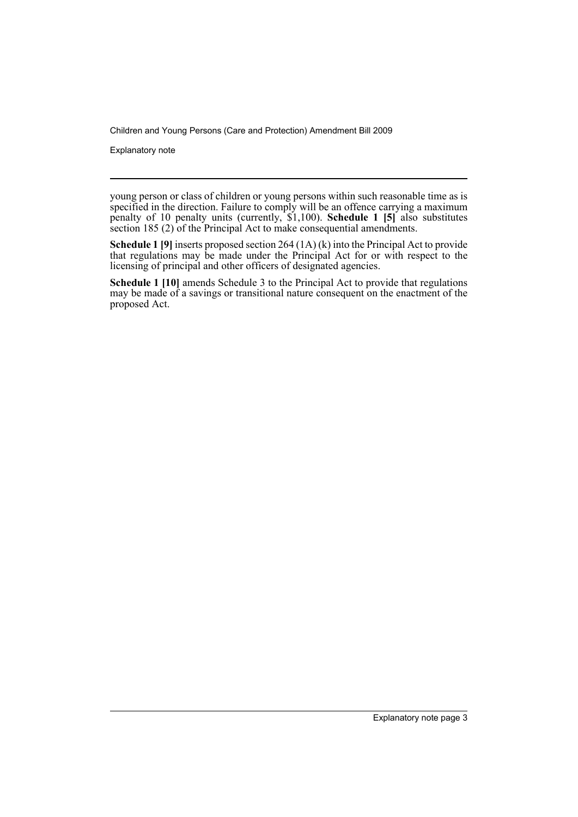Explanatory note

young person or class of children or young persons within such reasonable time as is specified in the direction. Failure to comply will be an offence carrying a maximum penalty of 10 penalty units (currently, \$1,100). **Schedule 1 [5]** also substitutes section 185 (2) of the Principal Act to make consequential amendments.

**Schedule 1 [9]** inserts proposed section 264 (1A) (k) into the Principal Act to provide that regulations may be made under the Principal Act for or with respect to the licensing of principal and other officers of designated agencies.

**Schedule 1 [10]** amends Schedule 3 to the Principal Act to provide that regulations may be made of a savings or transitional nature consequent on the enactment of the proposed Act.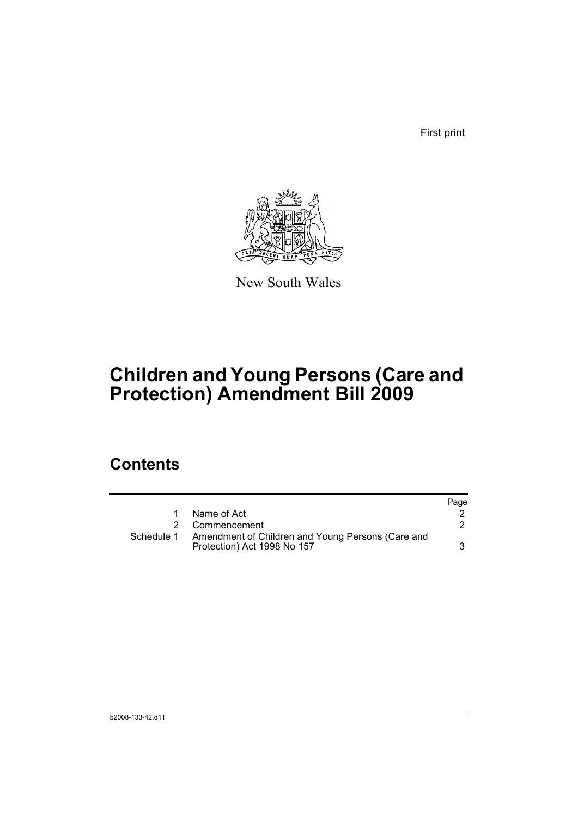First print



New South Wales

# **Children and Young Persons (Care and Protection) Amendment Bill 2009**

### **Contents**

|            |                                                                                  | Page |
|------------|----------------------------------------------------------------------------------|------|
|            | Name of Act                                                                      |      |
|            | 2 Commencement                                                                   |      |
| Schedule 1 | Amendment of Children and Young Persons (Care and<br>Protection) Act 1998 No 157 |      |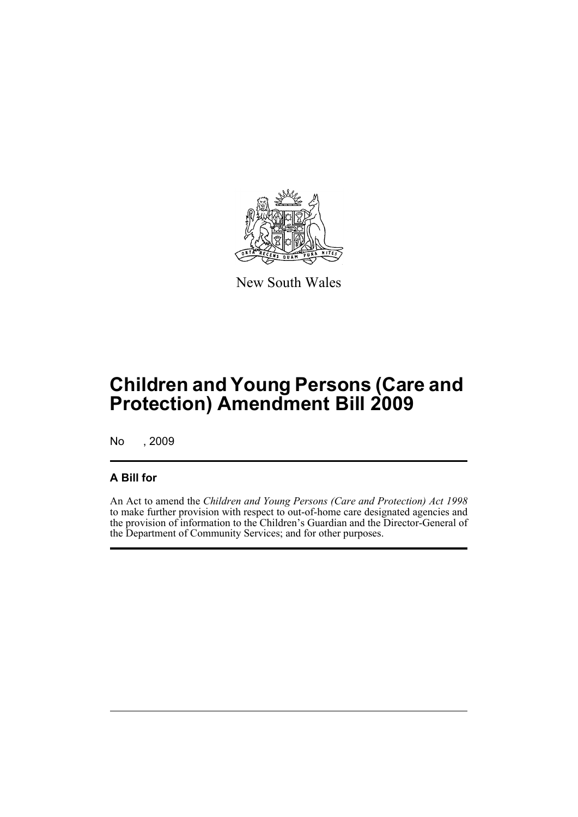

New South Wales

## **Children and Young Persons (Care and Protection) Amendment Bill 2009**

No , 2009

#### **A Bill for**

An Act to amend the *Children and Young Persons (Care and Protection) Act 1998* to make further provision with respect to out-of-home care designated agencies and the provision of information to the Children's Guardian and the Director-General of the Department of Community Services; and for other purposes.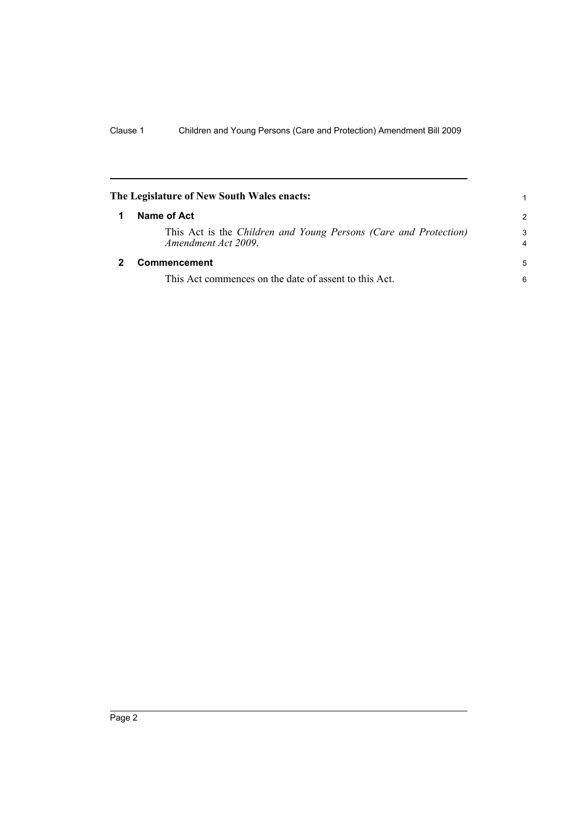<span id="page-7-1"></span><span id="page-7-0"></span>

| The Legislature of New South Wales enacts: |                                                                                         | 1                   |
|--------------------------------------------|-----------------------------------------------------------------------------------------|---------------------|
|                                            | Name of Act                                                                             | $\mathcal{P}$       |
|                                            | This Act is the Children and Young Persons (Care and Protection)<br>Amendment Act 2009. | 3<br>$\overline{4}$ |
|                                            | Commencement                                                                            | 5                   |
|                                            | This Act commences on the date of assent to this Act.                                   | 6                   |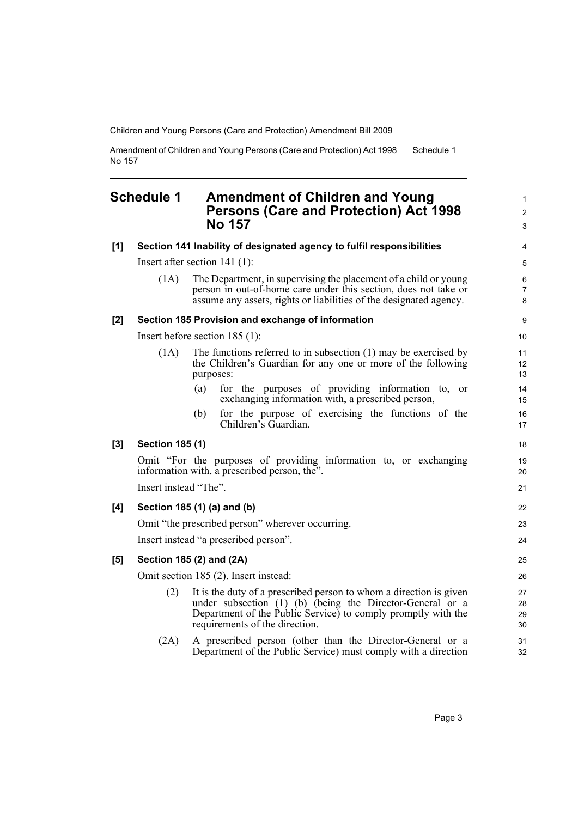Amendment of Children and Young Persons (Care and Protection) Act 1998 No 157 Schedule 1

#### <span id="page-8-0"></span>**Schedule 1 Amendment of Children and Young Persons (Care and Protection) Act 1998 No 157**

|     |                        | <b>NO 157</b>                                                                                                                                                                                                                      | 3                        |
|-----|------------------------|------------------------------------------------------------------------------------------------------------------------------------------------------------------------------------------------------------------------------------|--------------------------|
| [1] |                        | Section 141 Inability of designated agency to fulfil responsibilities                                                                                                                                                              | 4                        |
|     |                        | Insert after section $141(1)$ :                                                                                                                                                                                                    | 5                        |
|     | (1A)                   | The Department, in supervising the placement of a child or young<br>person in out-of-home care under this section, does not take or<br>assume any assets, rights or liabilities of the designated agency.                          | 6<br>$\overline{7}$<br>8 |
| [2] |                        | Section 185 Provision and exchange of information                                                                                                                                                                                  | 9                        |
|     |                        | Insert before section $185(1)$ :                                                                                                                                                                                                   | 10                       |
|     | (1A)                   | The functions referred to in subsection $(1)$ may be exercised by<br>the Children's Guardian for any one or more of the following<br>purposes:                                                                                     | 11<br>12<br>13           |
|     |                        | for the purposes of providing information to, or<br>(a)<br>exchanging information with, a prescribed person,                                                                                                                       | 14<br>15                 |
|     |                        | for the purpose of exercising the functions of the<br>(b)<br>Children's Guardian.                                                                                                                                                  | 16<br>17                 |
| [3] | <b>Section 185 (1)</b> |                                                                                                                                                                                                                                    | 18                       |
|     |                        | Omit "For the purposes of providing information to, or exchanging<br>information with, a prescribed person, the".                                                                                                                  | 19<br>20                 |
|     | Insert instead "The".  |                                                                                                                                                                                                                                    | 21                       |
| [4] |                        | Section 185 (1) (a) and (b)                                                                                                                                                                                                        | 22                       |
|     |                        | Omit "the prescribed person" wherever occurring.                                                                                                                                                                                   | 23                       |
|     |                        | Insert instead "a prescribed person".                                                                                                                                                                                              | 24                       |
| [5] |                        | Section 185 (2) and (2A)                                                                                                                                                                                                           | 25                       |
|     |                        | Omit section 185 (2). Insert instead:                                                                                                                                                                                              | 26                       |
|     | (2)                    | It is the duty of a prescribed person to whom a direction is given<br>under subsection (1) (b) (being the Director-General or a<br>Department of the Public Service) to comply promptly with the<br>requirements of the direction. | 27<br>28<br>29<br>30     |
|     | (2A)                   | A prescribed person (other than the Director-General or a<br>Department of the Public Service) must comply with a direction                                                                                                        | 31<br>32                 |
|     |                        |                                                                                                                                                                                                                                    |                          |

1 2